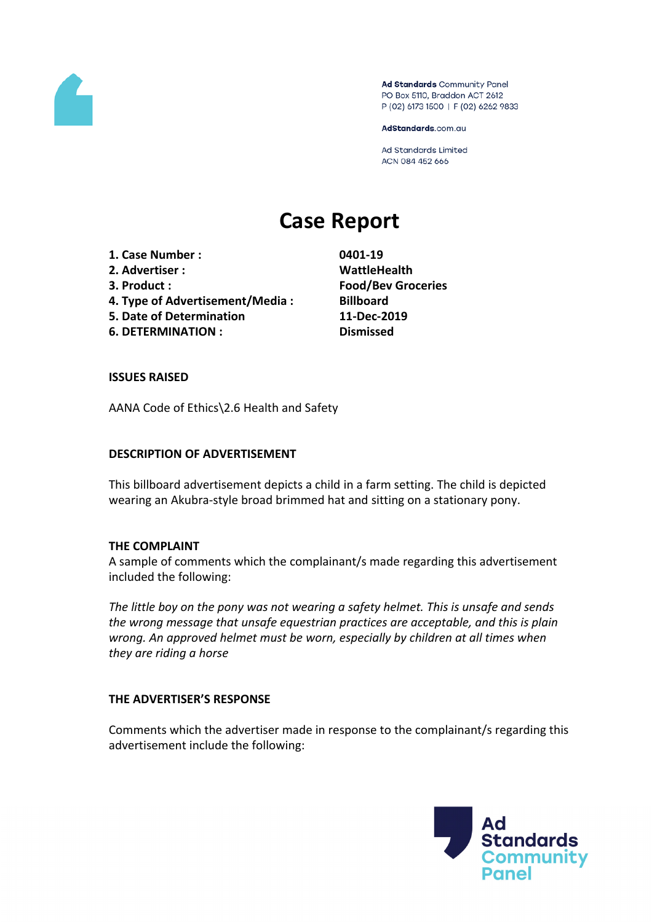

Ad Standards Community Panel PO Box 5110, Braddon ACT 2612 P (02) 6173 1500 | F (02) 6262 9833

AdStandards.com.au

Ad Standards Limited ACN 084 452 666

# **Case Report**

**1. Case Number : 0401-19**

- **2. Advertiser : WattleHealth**
- 
- **4. Type of Advertisement/Media : Billboard**
- **5. Date of Determination 11-Dec-2019**

**6. DETERMINATION : Dismissed**

**3. Product : Food/Bev Groceries**

# **ISSUES RAISED**

AANA Code of Ethics\2.6 Health and Safety

# **DESCRIPTION OF ADVERTISEMENT**

This billboard advertisement depicts a child in a farm setting. The child is depicted wearing an Akubra-style broad brimmed hat and sitting on a stationary pony.

### **THE COMPLAINT**

A sample of comments which the complainant/s made regarding this advertisement included the following:

*The little boy on the pony was not wearing a safety helmet. This is unsafe and sends the wrong message that unsafe equestrian practices are acceptable, and this is plain wrong. An approved helmet must be worn, especially by children at all times when they are riding a horse*

### **THE ADVERTISER'S RESPONSE**

Comments which the advertiser made in response to the complainant/s regarding this advertisement include the following:

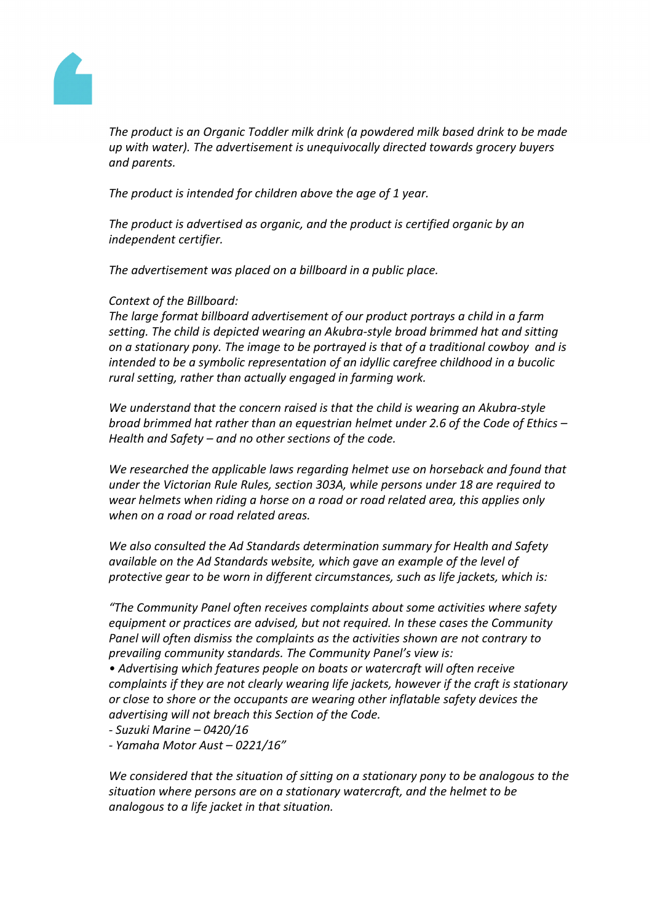

*The product is an Organic Toddler milk drink (a powdered milk based drink to be made up with water). The advertisement is unequivocally directed towards grocery buyers and parents.*

*The product is intended for children above the age of 1 year.*

*The product is advertised as organic, and the product is certified organic by an independent certifier.*

*The advertisement was placed on a billboard in a public place.*

# *Context of the Billboard:*

*The large format billboard advertisement of our product portrays a child in a farm setting. The child is depicted wearing an Akubra-style broad brimmed hat and sitting on a stationary pony. The image to be portrayed is that of a traditional cowboy and is intended to be a symbolic representation of an idyllic carefree childhood in a bucolic rural setting, rather than actually engaged in farming work.*

*We understand that the concern raised is that the child is wearing an Akubra-style broad brimmed hat rather than an equestrian helmet under 2.6 of the Code of Ethics – Health and Safety – and no other sections of the code.*

*We researched the applicable laws regarding helmet use on horseback and found that under the Victorian Rule Rules, section 303A, while persons under 18 are required to wear helmets when riding a horse on a road or road related area, this applies only when on a road or road related areas.*

*We also consulted the Ad Standards determination summary for Health and Safety available on the Ad Standards website, which gave an example of the level of protective gear to be worn in different circumstances, such as life jackets, which is:*

*"The Community Panel often receives complaints about some activities where safety equipment or practices are advised, but not required. In these cases the Community Panel will often dismiss the complaints as the activities shown are not contrary to prevailing community standards. The Community Panel's view is:*

*• Advertising which features people on boats or watercraft will often receive complaints if they are not clearly wearing life jackets, however if the craft is stationary or close to shore or the occupants are wearing other inflatable safety devices the advertising will not breach this Section of the Code.*

*- Suzuki Marine – 0420/16*

*- Yamaha Motor Aust – 0221/16"*

*We considered that the situation of sitting on a stationary pony to be analogous to the situation where persons are on a stationary watercraft, and the helmet to be analogous to a life jacket in that situation.*